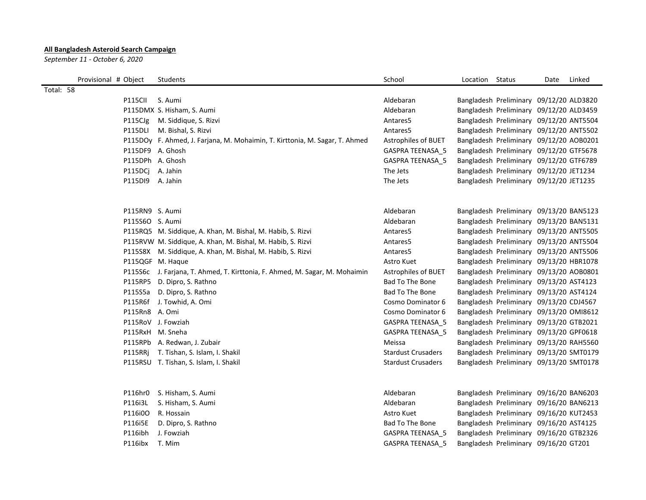## **All Bangladesh Asteroid Search Campaign**

*September 11 - October 6, 2020*

| Provisional # Object | Students                                                                    | School                    | Location Status |                                         | Date | Linked |
|----------------------|-----------------------------------------------------------------------------|---------------------------|-----------------|-----------------------------------------|------|--------|
| Total: 58            |                                                                             |                           |                 |                                         |      |        |
| P115CII              | S. Aumi                                                                     | Aldebaran                 |                 | Bangladesh Preliminary 09/12/20 ALD3820 |      |        |
|                      | P115DMX S. Hisham, S. Aumi                                                  | Aldebaran                 |                 | Bangladesh Preliminary 09/12/20 ALD3459 |      |        |
|                      | P115CJg M. Siddique, S. Rizvi                                               | Antares5                  |                 | Bangladesh Preliminary 09/12/20 ANT5504 |      |        |
|                      | P115DLI M. Bishal, S. Rizvi                                                 | Antares5                  |                 | Bangladesh Preliminary 09/12/20 ANT5502 |      |        |
|                      | P115DOy F. Ahmed, J. Farjana, M. Mohaimin, T. Kirttonia, M. Sagar, T. Ahmed | Astrophiles of BUET       |                 | Bangladesh Preliminary 09/12/20 AOB0201 |      |        |
|                      | P115DF9 A. Ghosh                                                            | GASPRA TEENASA_5          |                 | Bangladesh Preliminary 09/12/20 GTF5678 |      |        |
|                      | P115DPh A. Ghosh                                                            | GASPRA TEENASA 5          |                 | Bangladesh Preliminary 09/12/20 GTF6789 |      |        |
|                      | P115DCj A. Jahin                                                            | The Jets                  |                 | Bangladesh Preliminary 09/12/20 JET1234 |      |        |
|                      | P115DI9 A. Jahin                                                            | The Jets                  |                 | Bangladesh Preliminary 09/12/20 JET1235 |      |        |
|                      | P115RN9 S. Aumi                                                             | Aldebaran                 |                 | Bangladesh Preliminary 09/13/20 BAN5123 |      |        |
|                      | P115S6O S. Aumi                                                             | Aldebaran                 |                 | Bangladesh Preliminary 09/13/20 BAN5131 |      |        |
|                      | P115RQ5 M. Siddique, A. Khan, M. Bishal, M. Habib, S. Rizvi                 | Antares5                  |                 | Bangladesh Preliminary 09/13/20 ANT5505 |      |        |
|                      | P115RVW M. Siddique, A. Khan, M. Bishal, M. Habib, S. Rizvi                 | Antares5                  |                 | Bangladesh Preliminary 09/13/20 ANT5504 |      |        |
|                      | P115S8X M. Siddique, A. Khan, M. Bishal, M. Habib, S. Rizvi                 | Antares5                  |                 | Bangladesh Preliminary 09/13/20 ANT5506 |      |        |
|                      | P115QGF M. Haque                                                            | Astro Kuet                |                 | Bangladesh Preliminary 09/13/20 HBR1078 |      |        |
|                      | P115S6c J. Farjana, T. Ahmed, T. Kirttonia, F. Ahmed, M. Sagar, M. Mohaimin | Astrophiles of BUET       |                 | Bangladesh Preliminary 09/13/20 AOB0801 |      |        |
|                      | P115RP5 D. Dipro, S. Rathno                                                 | Bad To The Bone           |                 | Bangladesh Preliminary 09/13/20 AST4123 |      |        |
|                      | P115S5a D. Dipro, S. Rathno                                                 | Bad To The Bone           |                 | Bangladesh Preliminary 09/13/20 AST4124 |      |        |
|                      | P115R6f J. Towhid, A. Omi                                                   | Cosmo Dominator 6         |                 | Bangladesh Preliminary 09/13/20 CDJ4567 |      |        |
|                      | P115Rn8 A. Omi                                                              | Cosmo Dominator 6         |                 | Bangladesh Preliminary 09/13/20 OMI8612 |      |        |
|                      | P115RoV J. Fowziah                                                          | GASPRA TEENASA 5          |                 | Bangladesh Preliminary 09/13/20 GTB2021 |      |        |
|                      | P115RxH M. Sneha                                                            | GASPRA TEENASA 5          |                 | Bangladesh Preliminary 09/13/20 GPF0618 |      |        |
|                      | P115RPb A. Redwan, J. Zubair                                                | Meissa                    |                 | Bangladesh Preliminary 09/13/20 RAH5560 |      |        |
|                      | P115RRj T. Tishan, S. Islam, I. Shakil                                      | <b>Stardust Crusaders</b> |                 | Bangladesh Preliminary 09/13/20 SMT0179 |      |        |
|                      | P115RSU T. Tishan, S. Islam, I. Shakil                                      | <b>Stardust Crusaders</b> |                 | Bangladesh Preliminary 09/13/20 SMT0178 |      |        |
|                      |                                                                             |                           |                 |                                         |      |        |
|                      | P116hr0 S. Hisham, S. Aumi                                                  | Aldebaran                 |                 | Bangladesh Preliminary 09/16/20 BAN6203 |      |        |
| P116i3L              | S. Hisham, S. Aumi                                                          | Aldebaran                 |                 | Bangladesh Preliminary 09/16/20 BAN6213 |      |        |
| P116i0O              | R. Hossain                                                                  | Astro Kuet                |                 | Bangladesh Preliminary 09/16/20 KUT2453 |      |        |
| P116i5E              | D. Dipro, S. Rathno                                                         | Bad To The Bone           |                 | Bangladesh Preliminary 09/16/20 AST4125 |      |        |
| P116ibh              | J. Fowziah                                                                  | GASPRA TEENASA 5          |                 | Bangladesh Preliminary 09/16/20 GTB2326 |      |        |
| P116ibx              | T. Mim                                                                      | GASPRA TEENASA 5          |                 | Bangladesh Preliminary 09/16/20 GT201   |      |        |